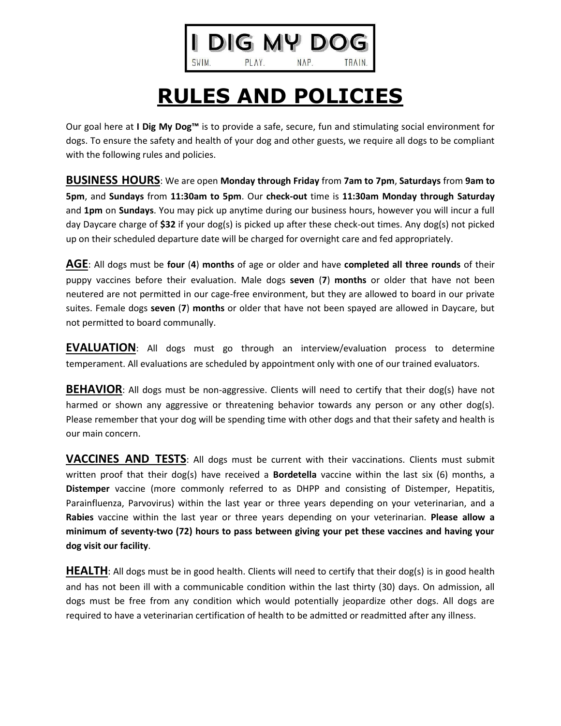## DIG MY DO

PLAY.

SWIM.

## NAP. **TRAIN**

## **RULES AND POLICIES**

Our goal here at **I Dig My Dog™** is to provide a safe, secure, fun and stimulating social environment for dogs. To ensure the safety and health of your dog and other guests, we require all dogs to be compliant with the following rules and policies.

**BUSINESS HOURS**: We are open **Monday through Friday** from **7am to 7pm**, **Saturdays** from **9am to 5pm**, and **Sundays** from **11:30am to 5pm**. Our **check-out** time is **11:30am Monday through Saturday** and **1pm** on **Sundays**. You may pick up anytime during our business hours, however you will incur a full day Daycare charge of **\$32** if your dog(s) is picked up after these check-out times. Any dog(s) not picked up on their scheduled departure date will be charged for overnight care and fed appropriately.

**AGE**: All dogs must be **four** (**4**) **months** of age or older and have **completed all three rounds** of their puppy vaccines before their evaluation. Male dogs **seven** (**7**) **months** or older that have not been neutered are not permitted in our cage-free environment, but they are allowed to board in our private suites. Female dogs **seven** (**7**) **months** or older that have not been spayed are allowed in Daycare, but not permitted to board communally.

**EVALUATION**: All dogs must go through an interview/evaluation process to determine temperament. All evaluations are scheduled by appointment only with one of our trained evaluators.

**BEHAVIOR:** All dogs must be non-aggressive. Clients will need to certify that their dog(s) have not harmed or shown any aggressive or threatening behavior towards any person or any other dog(s). Please remember that your dog will be spending time with other dogs and that their safety and health is our main concern.

**VACCINES AND TESTS**: All dogs must be current with their vaccinations. Clients must submit written proof that their dog(s) have received a **Bordetella** vaccine within the last six (6) months, a **Distemper** vaccine (more commonly referred to as DHPP and consisting of Distemper, Hepatitis, Parainfluenza, Parvovirus) within the last year or three years depending on your veterinarian, and a **Rabies** vaccine within the last year or three years depending on your veterinarian. **Please allow a minimum of seventy-two (72) hours to pass between giving your pet these vaccines and having your dog visit our facility**.

**HEALTH**: All dogs must be in good health. Clients will need to certify that their dog(s) is in good health and has not been ill with a communicable condition within the last thirty (30) days. On admission, all dogs must be free from any condition which would potentially jeopardize other dogs. All dogs are required to have a veterinarian certification of health to be admitted or readmitted after any illness.